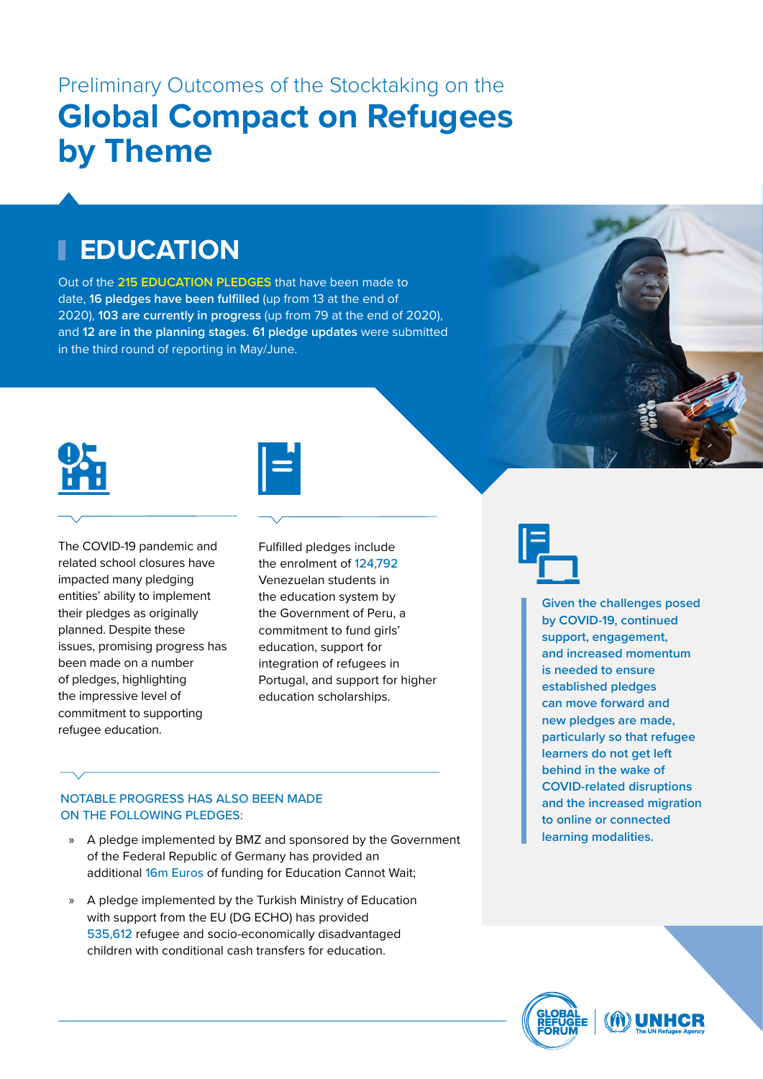# **EDUCATION**

Out of the **215 EDUCATION PLEDGES** that have been made to date, **16 pledges have been fulfilled** (up from 13 at the end of 2020), **103 are currently in progress** (up from 79 at the end of 2020), and **12 are in the planning stages**. **61 pledge updates** were submitted in the third round of reporting in May/June.



The COVID-19 pandemic and related school closures have impacted many pledging entities' ability to implement their pledges as originally planned. Despite these issues, promising progress has been made on a number of pledges, highlighting the impressive level of commitment to supporting refugee education.



Fulfilled pledges include the enrolment of 124,792 Venezuelan students in the education system by the Government of Peru, a commitment to fund girls' education, support for integration of refugees in Portugal, and support for higher education scholarships.



**Given the challenges posed by COVID-19, continued support, engagement, and increased momentum is needed to ensure established pledges can move forward and new pledges are made, particularly so that refugee learners do not get left behind in the wake of COVID-related disruptions and the increased migration to online or connected learning modalities.**

### NOTABLE PROGRESS HAS ALSO BEEN MADE ON THE FOLLOWING PLEDGES:

- » A pledge implemented by BMZ and sponsored by the Government of the Federal Republic of Germany has provided an additional 16m Euros of funding for Education Cannot Wait;
- » A pledge implemented by the Turkish Ministry of Education with support from the EU (DG ECHO) has provided 535,612 refugee and socio-economically disadvantaged children with conditional cash transfers for education.

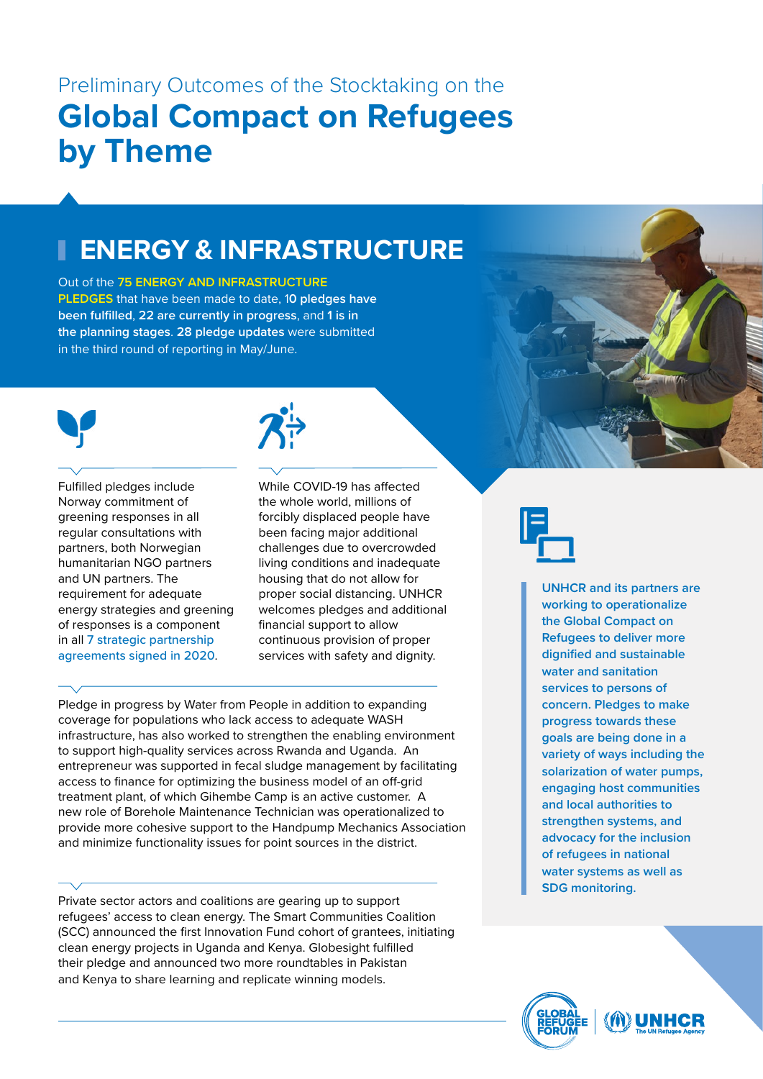# **ENERGY & INFRASTRUCTURE**

Out of the **75 ENERGY AND INFRASTRUCTURE PLEDGES** that have been made to date, 1**0 pledges have been fulfilled**, **22 are currently in progress**, and **1 is in the planning stages**. **28 pledge updates** were submitted in the third round of reporting in May/June.



Fulfilled pledges include Norway commitment of greening responses in all regular consultations with partners, both Norwegian humanitarian NGO partners and UN partners. The requirement for adequate energy strategies and greening of responses is a component in all 7 strategic partnership agreements signed in 2020.



While COVID-19 has affected the whole world, millions of forcibly displaced people have been facing major additional challenges due to overcrowded living conditions and inadequate housing that do not allow for proper social distancing. UNHCR welcomes pledges and additional financial support to allow continuous provision of proper services with safety and dignity.

Pledge in progress by Water from People in addition to expanding coverage for populations who lack access to adequate WASH infrastructure, has also worked to strengthen the enabling environment to support high-quality services across Rwanda and Uganda. An entrepreneur was supported in fecal sludge management by facilitating access to finance for optimizing the business model of an off-grid treatment plant, of which Gihembe Camp is an active customer. A new role of Borehole Maintenance Technician was operationalized to provide more cohesive support to the Handpump Mechanics Association and minimize functionality issues for point sources in the district.

Private sector actors and coalitions are gearing up to support refugees' access to clean energy. The Smart Communities Coalition (SCC) announced the first Innovation Fund cohort of grantees, initiating clean energy projects in Uganda and Kenya. Globesight fulfilled their pledge and announced two more roundtables in Pakistan and Kenya to share learning and replicate winning models.



**UNHCR and its partners are working to operationalize the Global Compact on Refugees to deliver more dignified and sustainable water and sanitation services to persons of concern. Pledges to make progress towards these goals are being done in a variety of ways including the solarization of water pumps, engaging host communities and local authorities to strengthen systems, and advocacy for the inclusion of refugees in national water systems as well as SDG monitoring.** 

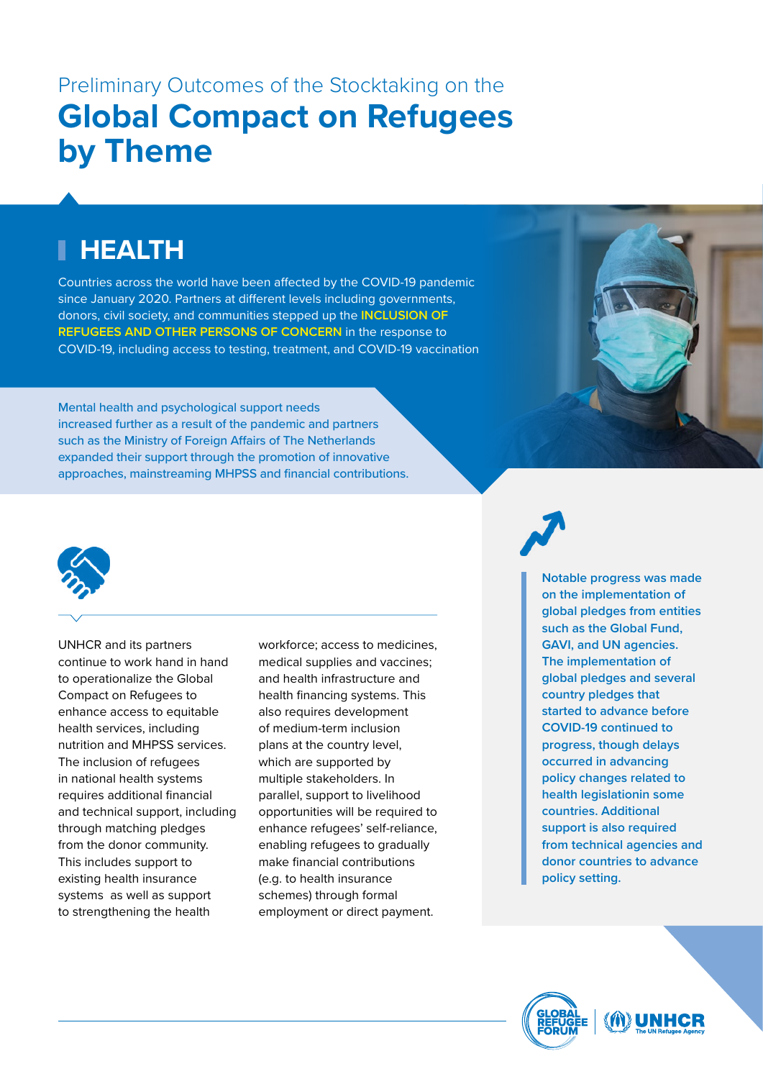# **HEALTH**

Countries across the world have been affected by the COVID-19 pandemic since January 2020. Partners at different levels including governments, donors, civil society, and communities stepped up the **INCLUSION OF REFUGEES AND OTHER PERSONS OF CONCERN** in the response to COVID-19, including access to testing, treatment, and COVID-19 vaccination

Mental health and psychological support needs increased further as a result of the pandemic and partners such as the Ministry of Foreign Affairs of The Netherlands expanded their support through the promotion of innovative approaches, mainstreaming MHPSS and financial contributions.





UNHCR and its partners continue to work hand in hand to operationalize the Global Compact on Refugees to enhance access to equitable health services, including nutrition and MHPSS services. The inclusion of refugees in national health systems requires additional financial and technical support, including through matching pledges from the donor community. This includes support to existing health insurance systems as well as support to strengthening the health

workforce; access to medicines, medical supplies and vaccines; and health infrastructure and health financing systems. This also requires development of medium-term inclusion plans at the country level, which are supported by multiple stakeholders. In parallel, support to livelihood opportunities will be required to enhance refugees' self-reliance, enabling refugees to gradually make financial contributions (e.g. to health insurance schemes) through formal employment or direct payment.

**Notable progress was made on the implementation of global pledges from entities such as the Global Fund, GAVI, and UN agencies. The implementation of global pledges and several country pledges that started to advance before COVID-19 continued to progress, though delays occurred in advancing policy changes related to health legislationin some countries. Additional support is also required from technical agencies and donor countries to advance policy setting.** 

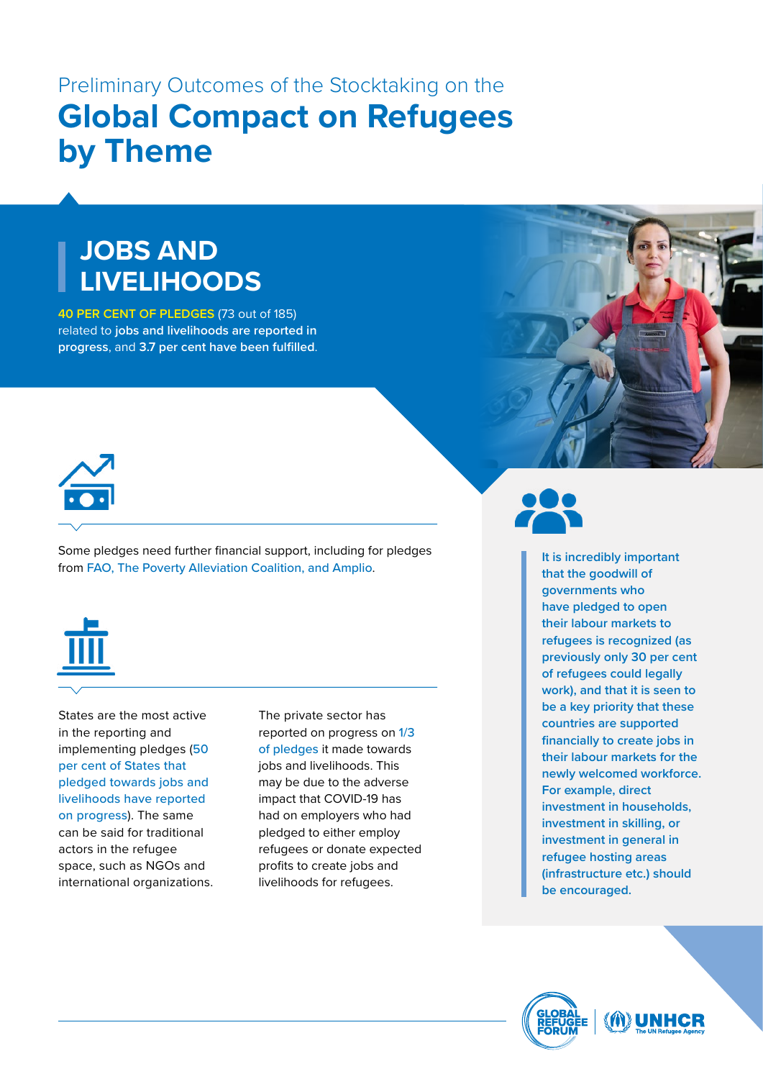# **JOBS AND LIVELIHOODS**

**40 PER CENT OF PLEDGES** (73 out of 185) related to **jobs and livelihoods are reported in progress**, and **3.7 per cent have been fulfilled**.



Some pledges need further financial support, including for pledges from FAO, The Poverty Alleviation Coalition, and Amplio.



States are the most active in the reporting and implementing pledges (50 per cent of States that pledged towards jobs and livelihoods have reported on progress). The same can be said for traditional actors in the refugee space, such as NGOs and international organizations.

The private sector has reported on progress on 1/3 of pledges it made towards jobs and livelihoods. This may be due to the adverse impact that COVID-19 has had on employers who had pledged to either employ refugees or donate expected profits to create jobs and livelihoods for refugees.



**It is incredibly important that the goodwill of governments who have pledged to open their labour markets to refugees is recognized (as previously only 30 per cent of refugees could legally work), and that it is seen to be a key priority that these countries are supported financially to create jobs in their labour markets for the newly welcomed workforce. For example, direct investment in households, investment in skilling, or investment in general in refugee hosting areas (infrastructure etc.) should be encouraged.**

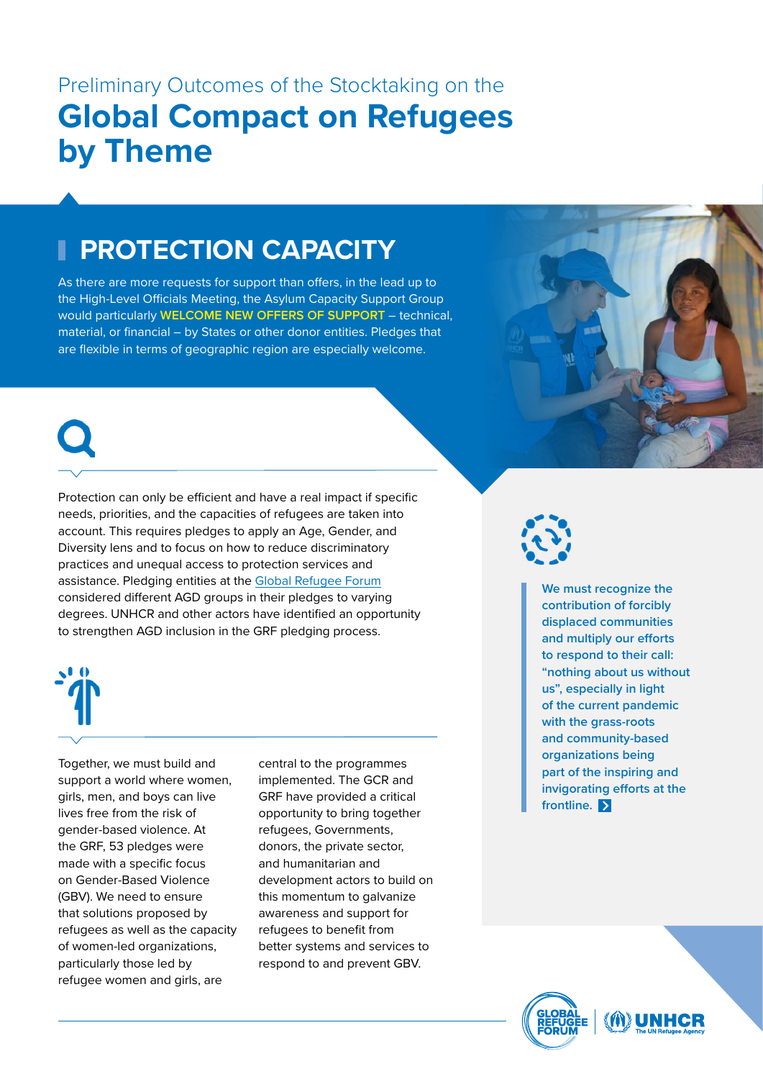# **PROTECTION CAPACITY**

As there are more requests for support than offers, in the lead up to the High-Level Officials Meeting, the Asylum Capacity Support Group would particularly **WELCOME NEW OFFERS OF SUPPORT** – technical, material, or financial – by States or other donor entities. Pledges that are flexible in terms of geographic region are especially welcome.



Protection can only be efficient and have a real impact if specific needs, priorities, and the capacities of refugees are taken into account. This requires pledges to apply an Age, Gender, and Diversity lens and to focus on how to reduce discriminatory practices and unequal access to protection services and assistance. Pledging entities at the [Global Refugee Forum](https://eur02.safelinks.protection.outlook.com/?url=https%3A%2F%2Fwww.unhcr.org%2Fglobal-refugee-forum.html&data=04%7C01%7CJOANIAN%40unhcr.org%7Cffebba63d0614a4e6a5608d90bbda222%7Ce5c37981666441348a0c6543d2af80be%7C0%7C0%7C637553731369773386%7CUnknown%7CTWFpbGZsb3d8eyJWIjoiMC4wLjAwMDAiLCJQIjoiV2luMzIiLCJBTiI6Ik1haWwiLCJXVCI6Mn0%3D%7C1000&sdata=wrZ58w0aFwOoqsjkC3Tf9pKfz%2BLQ52tYz4zkCpp6I04%3D&reserved=0%22%20\h) considered different AGD groups in their pledges to varying degrees. UNHCR and other actors have identified an opportunity to strengthen AGD inclusion in the GRF pledging process.



Together, we must build and support a world where women, girls, men, and boys can live lives free from the risk of gender-based violence. At the GRF, 53 pledges were made with a specific focus on Gender-Based Violence (GBV). We need to ensure that solutions proposed by refugees as well as the capacity of women-led organizations, particularly those led by refugee women and girls, are

central to the programmes implemented. The GCR and GRF have provided a critical opportunity to bring together refugees, Governments, donors, the private sector, and humanitarian and development actors to build on this momentum to galvanize awareness and support for refugees to benefit from better systems and services to respond to and prevent GBV.



**We must recognize the contribution of forcibly displaced communities and multiply our efforts to respond to their call: "nothing about us without us", especially in light of the current pandemic with the grass-roots and community-based organizations being part of the inspiring and invigorating efforts at the frontline.** 

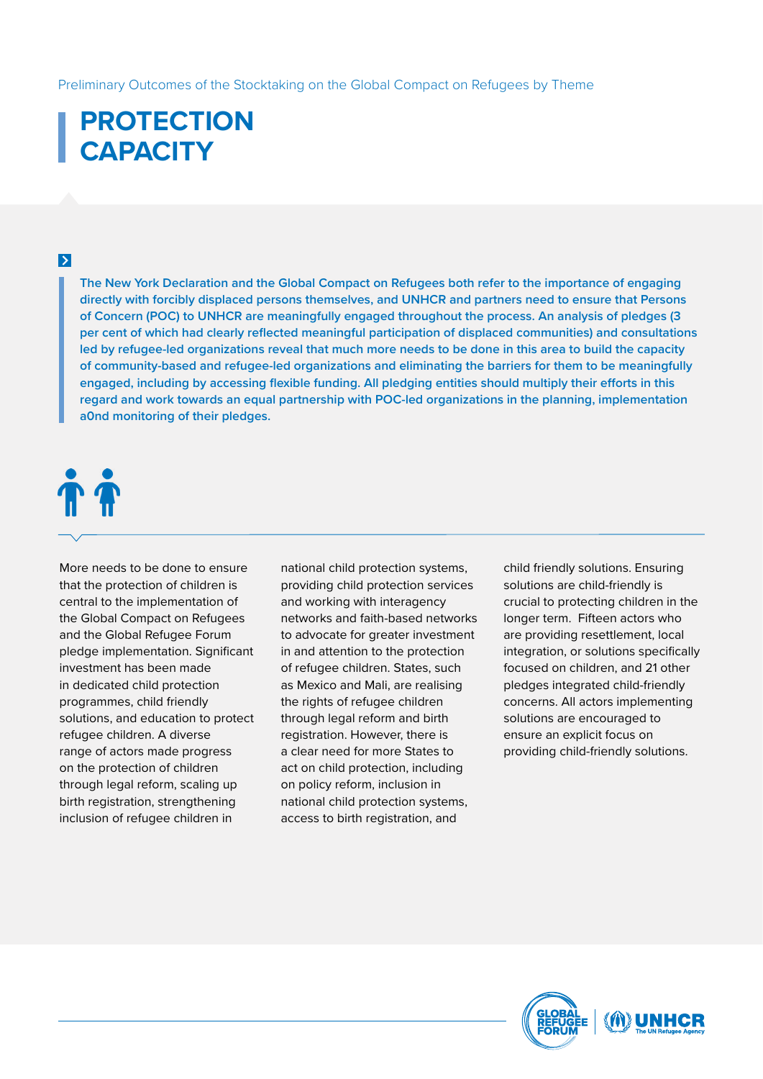# **PROTECTION CAPACITY**

### $\triangleright$

**The New York Declaration and the Global Compact on Refugees both refer to the importance of engaging directly with forcibly displaced persons themselves, and UNHCR and partners need to ensure that Persons of Concern (POC) to UNHCR are meaningfully engaged throughout the process. An analysis of pledges (3 per cent of which had clearly reflected meaningful participation of displaced communities) and consultations led by refugee-led organizations reveal that much more needs to be done in this area to build the capacity of community-based and refugee-led organizations and eliminating the barriers for them to be meaningfully engaged, including by accessing flexible funding. All pledging entities should multiply their efforts in this regard and work towards an equal partnership with POC-led organizations in the planning, implementation a0nd monitoring of their pledges.**

# TT<sub>1</sub>

More needs to be done to ensure that the protection of children is central to the implementation of the Global Compact on Refugees and the Global Refugee Forum pledge implementation. Significant investment has been made in dedicated child protection programmes, child friendly solutions, and education to protect refugee children. A diverse range of actors made progress on the protection of children through legal reform, scaling up birth registration, strengthening inclusion of refugee children in

national child protection systems, providing child protection services and working with interagency networks and faith-based networks to advocate for greater investment in and attention to the protection of refugee children. States, such as Mexico and Mali, are realising the rights of refugee children through legal reform and birth registration. However, there is a clear need for more States to act on child protection, including on policy reform, inclusion in national child protection systems, access to birth registration, and

child friendly solutions. Ensuring solutions are child-friendly is crucial to protecting children in the longer term. Fifteen actors who are providing resettlement, local integration, or solutions specifically focused on children, and 21 other pledges integrated child-friendly concerns. All actors implementing solutions are encouraged to ensure an explicit focus on providing child-friendly solutions.

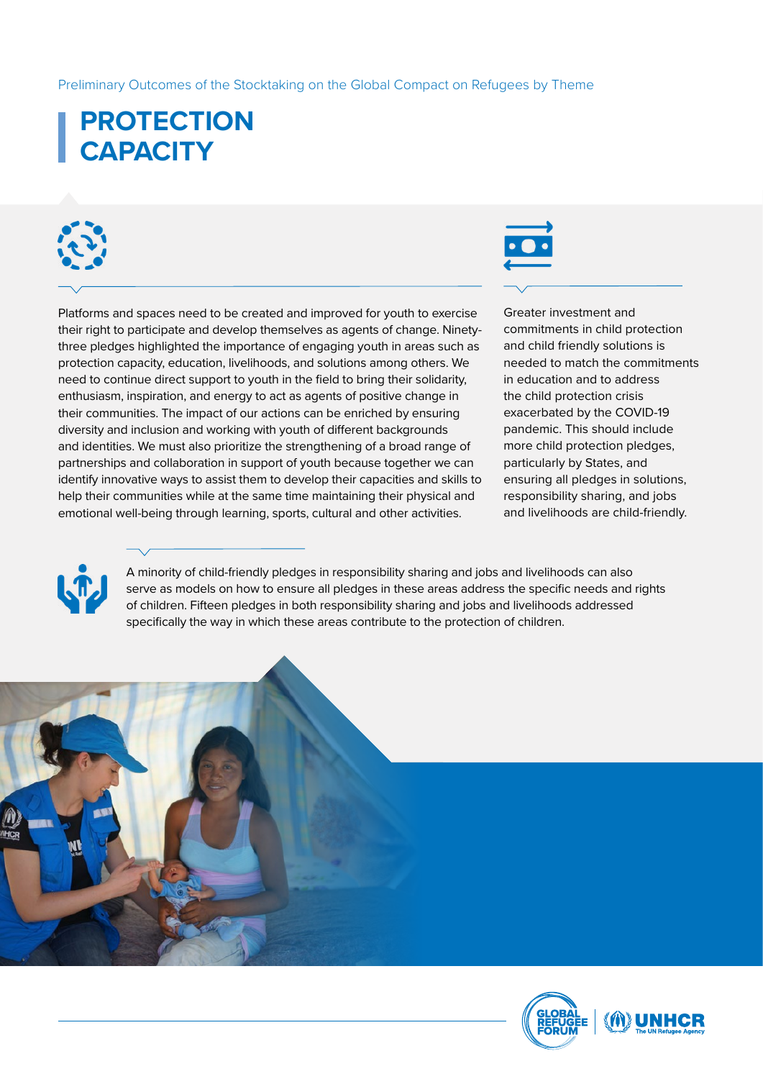# **PROTECTION CAPACITY**

Platforms and spaces need to be created and improved for youth to exercise their right to participate and develop themselves as agents of change. Ninetythree pledges highlighted the importance of engaging youth in areas such as protection capacity, education, livelihoods, and solutions among others. We need to continue direct support to youth in the field to bring their solidarity, enthusiasm, inspiration, and energy to act as agents of positive change in their communities. The impact of our actions can be enriched by ensuring diversity and inclusion and working with youth of different backgrounds and identities. We must also prioritize the strengthening of a broad range of partnerships and collaboration in support of youth because together we can identify innovative ways to assist them to develop their capacities and skills to help their communities while at the same time maintaining their physical and emotional well-being through learning, sports, cultural and other activities.

Greater investment and commitments in child protection and child friendly solutions is needed to match the commitments in education and to address the child protection crisis exacerbated by the COVID-19 pandemic. This should include more child protection pledges, particularly by States, and ensuring all pledges in solutions, responsibility sharing, and jobs and livelihoods are child-friendly.



A minority of child-friendly pledges in responsibility sharing and jobs and livelihoods can also serve as models on how to ensure all pledges in these areas address the specific needs and rights of children. Fifteen pledges in both responsibility sharing and jobs and livelihoods addressed specifically the way in which these areas contribute to the protection of children.



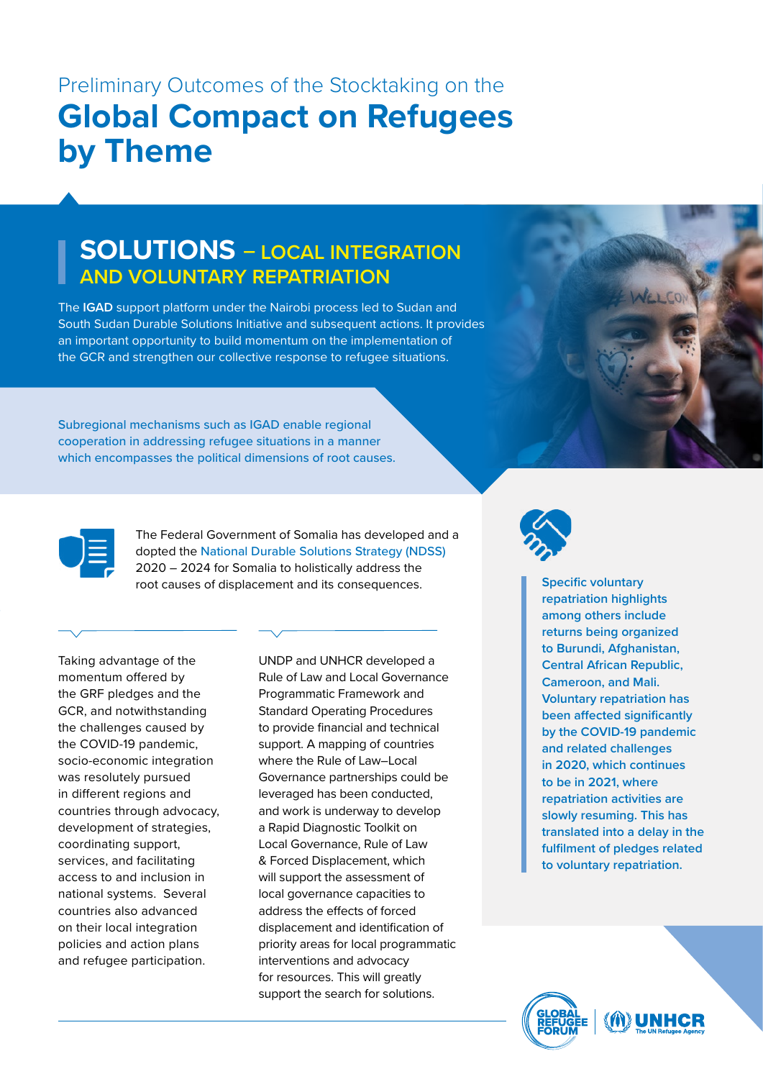## **SOLUTIONS – LOCAL INTEGRATION AND VOLUNTARY REPATRIATION**

The **IGAD** support platform under the Nairobi process led to Sudan and South Sudan Durable Solutions Initiative and subsequent actions. It provides an important opportunity to build momentum on the implementation of the GCR and strengthen our collective response to refugee situations.

Subregional mechanisms such as IGAD enable regional cooperation in addressing refugee situations in a manner which encompasses the political dimensions of root causes.



The Federal Government of Somalia has developed and a dopted the National Durable Solutions Strategy (NDSS) 2020 – 2024 for Somalia to holistically address the root causes of displacement and its consequences.

Taking advantage of the momentum offered by the GRF pledges and the GCR, and notwithstanding the challenges caused by the COVID-19 pandemic, socio-economic integration was resolutely pursued in different regions and countries through advocacy, development of strategies, coordinating support, services, and facilitating access to and inclusion in national systems. Several countries also advanced on their local integration policies and action plans and refugee participation.

UNDP and UNHCR developed a Rule of Law and Local Governance Programmatic Framework and Standard Operating Procedures to provide financial and technical support. A mapping of countries where the Rule of Law–Local Governance partnerships could be leveraged has been conducted, and work is underway to develop a Rapid Diagnostic Toolkit on Local Governance, Rule of Law & Forced Displacement, which will support the assessment of local governance capacities to address the effects of forced displacement and identification of priority areas for local programmatic interventions and advocacy for resources. This will greatly support the search for solutions.



**Specific voluntary repatriation highlights among others include returns being organized to Burundi, Afghanistan, Central African Republic, Cameroon, and Mali. Voluntary repatriation has been affected significantly by the COVID-19 pandemic and related challenges in 2020, which continues to be in 2021, where repatriation activities are slowly resuming. This has translated into a delay in the fulfilment of pledges related to voluntary repatriation.** 

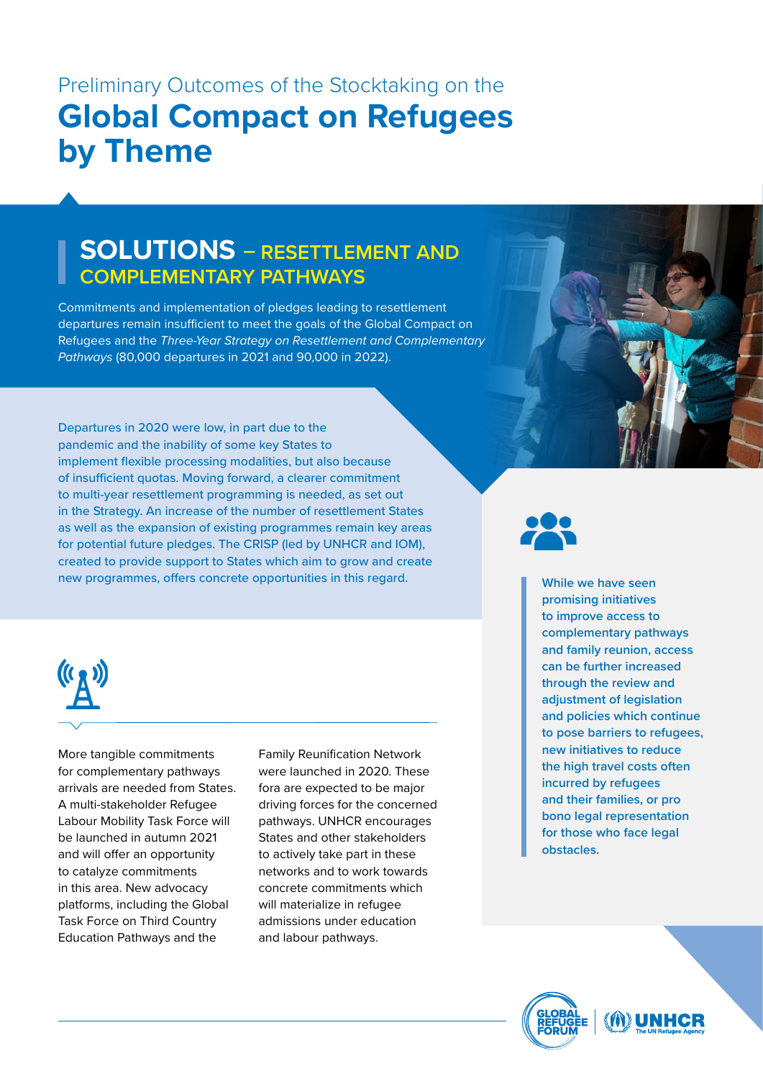## **SOLUTIONS – RESETTLEMENT AND COMPLEMENTARY PATHWAYS**

Commitments and implementation of pledges leading to resettlement departures remain insufficient to meet the goals of the Global Compact on Refugees and the *Three-Year Strategy on Resettlement and Complementary Pathways* (80,000 departures in 2021 and 90,000 in 2022).

Departures in 2020 were low, in part due to the pandemic and the inability of some key States to implement flexible processing modalities, but also because of insufficient quotas. Moving forward, a clearer commitment to multi-year resettlement programming is needed, as set out in the Strategy. An increase of the number of resettlement States as well as the expansion of existing programmes remain key areas for potential future pledges. The CRISP (led by UNHCR and IOM), created to provide support to States which aim to grow and create new programmes, offers concrete opportunities in this regard. **While we have seen** 





More tangible commitments for complementary pathways arrivals are needed from States. A multi-stakeholder Refugee Labour Mobility Task Force will be launched in autumn 2021 and will offer an opportunity to catalyze commitments in this area. New advocacy platforms, including the Global Task Force on Third Country Education Pathways and the

Family Reunification Network were launched in 2020. These fora are expected to be major driving forces for the concerned pathways. UNHCR encourages States and other stakeholders to actively take part in these networks and to work towards concrete commitments which will materialize in refugee admissions under education and labour pathways.

**promising initiatives to improve access to complementary pathways and family reunion, access can be further increased through the review and adjustment of legislation and policies which continue to pose barriers to refugees, new initiatives to reduce the high travel costs often incurred by refugees and their families, or pro bono legal representation for those who face legal obstacles.** 

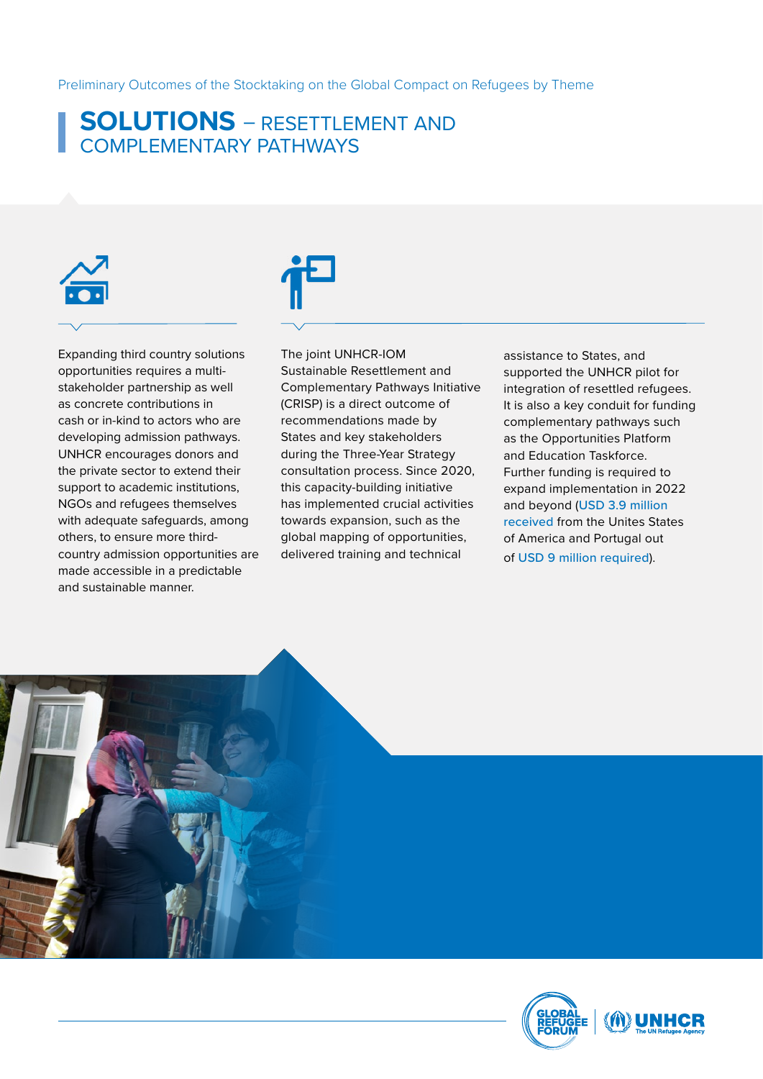### **SOLUTIONS** – RESETTLEMENT AND COMPLEMENTARY PATHWAYS

Expanding third country solutions opportunities requires a multistakeholder partnership as well as concrete contributions in cash or in-kind to actors who are developing admission pathways. UNHCR encourages donors and the private sector to extend their support to academic institutions, NGOs and refugees themselves with adequate safeguards, among others, to ensure more thirdcountry admission opportunities are made accessible in a predictable and sustainable manner.

The joint UNHCR-IOM Sustainable Resettlement and Complementary Pathways Initiative (CRISP) is a direct outcome of recommendations made by States and key stakeholders during the Three-Year Strategy consultation process. Since 2020, this capacity-building initiative has implemented crucial activities towards expansion, such as the global mapping of opportunities, delivered training and technical

assistance to States, and supported the UNHCR pilot for integration of resettled refugees. It is also a key conduit for funding complementary pathways such as the Opportunities Platform and Education Taskforce. Further funding is required to expand implementation in 2022 and beyond (USD 3.9 million received from the Unites States of America and Portugal out of USD 9 million required).